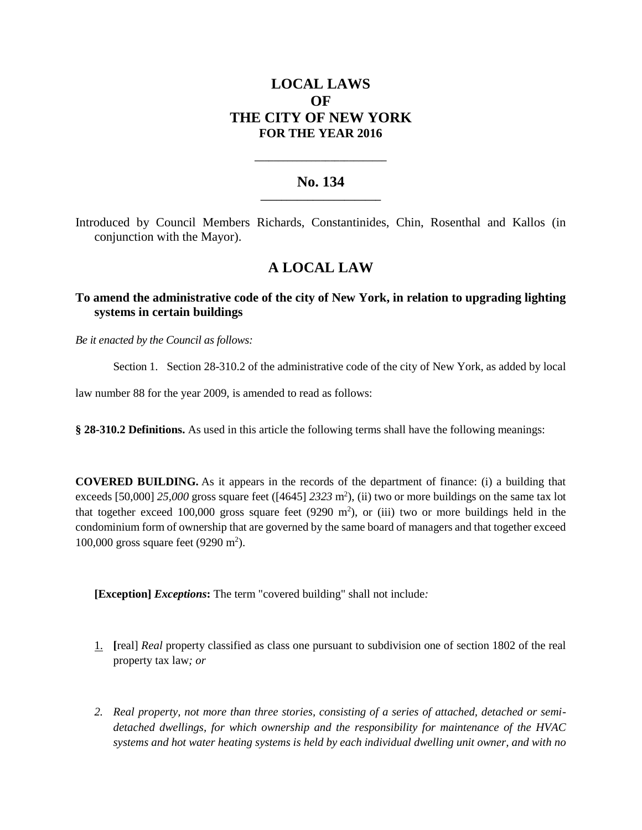# **LOCAL LAWS OF THE CITY OF NEW YORK FOR THE YEAR 2016**

### **No. 134 \_\_\_\_\_\_\_\_\_\_\_\_\_\_\_\_\_\_\_\_\_\_\_**

**\_\_\_\_\_\_\_\_\_\_\_\_\_\_\_\_\_\_\_\_\_\_\_\_\_\_\_\_**

Introduced by Council Members Richards, Constantinides, Chin, Rosenthal and Kallos (in conjunction with the Mayor).

# **A LOCAL LAW**

## **To amend the administrative code of the city of New York, in relation to upgrading lighting systems in certain buildings**

*Be it enacted by the Council as follows:*

Section 1. Section 28-310.2 of the administrative code of the city of New York, as added by local

law number 88 for the year 2009, is amended to read as follows:

**§ 28-310.2 Definitions.** As used in this article the following terms shall have the following meanings:

**COVERED BUILDING.** As it appears in the records of the department of finance: (i) a building that exceeds [50,000] 25,000 gross square feet ([4645] 2323 m<sup>2</sup>), (ii) two or more buildings on the same tax lot that together exceed 100,000 gross square feet  $(9290 \text{ m}^2)$ , or (iii) two or more buildings held in the condominium form of ownership that are governed by the same board of managers and that together exceed 100,000 gross square feet (9290 m<sup>2</sup>).

**[Exception]** *Exceptions***:** The term "covered building" shall not include*:*

- 1. **[**real] *Real* property classified as class one pursuant to subdivision one of section 1802 of the real property tax law*; or*
- *2. Real property, not more than three stories, consisting of a series of attached, detached or semidetached dwellings, for which ownership and the responsibility for maintenance of the HVAC systems and hot water heating systems is held by each individual dwelling unit owner, and with no*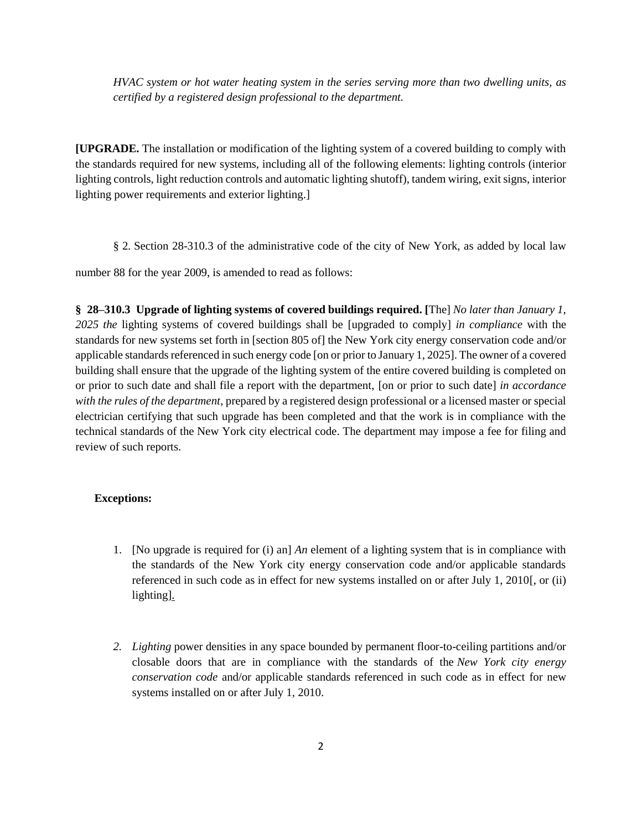*HVAC system or hot water heating system in the series serving more than two dwelling units, as certified by a registered design professional to the department.*

**[UPGRADE.** The installation or modification of the lighting system of a covered building to comply with the standards required for new systems, including all of the following elements: lighting controls (interior lighting controls, light reduction controls and automatic lighting shutoff), tandem wiring, exit signs, interior lighting power requirements and exterior lighting.]

§ 2. Section 28-310.3 of the administrative code of the city of New York, as added by local law

number 88 for the year 2009, is amended to read as follows:

**§ 28–310.3 Upgrade of lighting systems of covered buildings required. [**The] *No later than January 1, 2025 the* lighting systems of covered buildings shall be [upgraded to comply] *in compliance* with the standards for new systems set forth in [section 805 of] the New York city energy conservation code and/or applicable standards referenced in such energy code [on or prior to January 1, 2025]. The owner of a covered building shall ensure that the upgrade of the lighting system of the entire covered building is completed on or prior to such date and shall file a report with the department, [on or prior to such date] *in accordance with the rules of the department*, prepared by a registered design professional or a licensed master or special electrician certifying that such upgrade has been completed and that the work is in compliance with the technical standards of the New York city electrical code. The department may impose a fee for filing and review of such reports.

### **Exceptions:**

- 1. [No upgrade is required for (i) an] *An* element of a lighting system that is in compliance with the standards of the New York city energy conservation code and/or applicable standards referenced in such code as in effect for new systems installed on or after July 1, 2010[, or (ii) lighting].
- *2. Lighting* power densities in any space bounded by permanent floor-to-ceiling partitions and/or closable doors that are in compliance with the standards of the *New York city energy conservation code* and/or applicable standards referenced in such code as in effect for new systems installed on or after July 1, 2010.